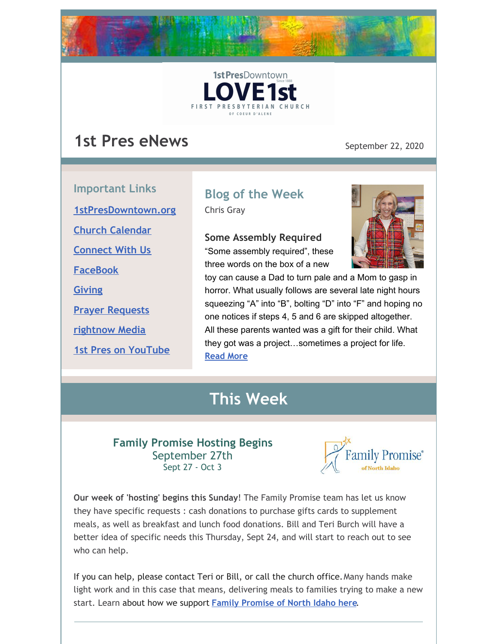



## **1st Pres eNews** September 22, 2020

**Important Links [1stPresDowntown.org](http://www.1stpresdowntown.org/) Church [Calendar](http://www.1stpresdowntown.org/calendar/) [Connect](https://www.1stpresdowntown.org/connect-with-us.html) With Us [FaceBook](https://www.facebook.com/cdadowntownchurch/)**

**[Giving](https://www.eservicepayments.com/cgi-bin/Vanco_ver3.vps?appver3=Fi1giPL8kwX_Oe1AO50jRhFtjI3jPush-TiV_cWeMqos4NSQukCYDzKLUtTTUlsf2EvVVAEjqawDomKT1pbouWbIw4yEvEZZftNOfs1-eIM%3D&ver=3)**

**Prayer [Requests](https://www.1stpresdowntown.org/prayer-request.html)**

**[rightnow](https://accounts.rightnowmedia.org/Account/Invite/FirstPresDowntown?returnUrl=https://www.rightnowmedia.org/Account/Media/InviteReturn) Media**

**1st Pres on [YouTube](https://www.youtube.com/channel/UCCfruZriuZfS2hVar79nXbQ)**

# **Blog of the Week**

Chris Gray

#### **Some Assembly Required**

"Some assembly required", these three words on the box of a new



toy can cause a Dad to turn pale and a Mom to gasp in horror. What usually follows are several late night hours squeezing "A" into "B", bolting "D" into "F" and hoping no one notices if steps 4, 5 and 6 are skipped altogether. All these parents wanted was a gift for their child. What they got was a project…sometimes a project for life. **[Read](https://www.1stpresdowntown.org/blog/some-assembly-required) More**

## **This Week**

### **Family Promise Hosting Begins** September 27th Sept 27 - Oct 3



**Our week of 'hosting' begins this Sunday**! The Family Promise team has let us know they have specific requests : cash donations to purchase gifts cards to supplement meals, as well as breakfast and lunch food donations. Bill and Teri Burch will have a better idea of specific needs this Thursday, Sept 24, and will start to reach out to see who can help.

If you can help, please contact Teri or Bill, or call the church office.Many hands make light work and in this case that means, delivering meals to families trying to make a new start. Learn about how we support **Family [Promise](https://www.1stpresdowntown.org/family-promise.html) of North Idaho here**.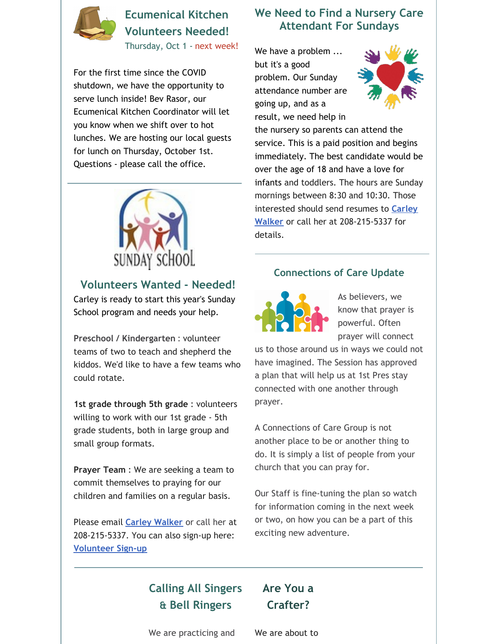

### **Ecumenical Kitchen Volunteers Needed!**

Thursday, Oct 1 - next week!

For the first time since the COVID shutdown, we have the opportunity to serve lunch inside! Bev Rasor, our Ecumenical Kitchen Coordinator will let you know when we shift over to hot lunches. We are hosting our local guests for lunch on Thursday, October 1st. Questions - please call the office.



### **Volunteers Wanted - Needed!**

Carley is ready to start this year's Sunday School program and needs your help.

**Preschool / Kindergarten** : volunteer teams of two to teach and shepherd the kiddos. We'd like to have a few teams who could rotate.

**1st grade through 5th grade** : volunteers willing to work with our 1st grade - 5th grade students, both in large group and small group formats.

**Prayer Team** : We are seeking a team to commit themselves to praying for our children and families on a regular basis.

Please email **Carley [Walker](mailto:carley@1stpresdowntown.org)** or call her at 208-215-5337. You can also sign-up here: **[Volunteer](https://docs.google.com/document/d/1KouiI7uvWPqtZYK3VD1tvbmyIikgW1VhLwfadk18UZk/edit) Sign-up**

### **We Need to Find a Nursery Care Attendant For Sundays**

We have a problem ... but it's a good problem. Our Sunday attendance number are going up, and as a result, we need help in



the nursery so parents can attend the service. This is a paid position and begins immediately. The best candidate would be over the age of 18 and have a love for infants and toddlers. The hours are Sunday mornings between 8:30 and 10:30. Those interested should send resumes to **Carley Walker** or call her at [208-215-5337](mailto:Carley@1stpresdowntown.org) for details.

#### **Connections of Care Update**



As believers, we know that prayer is powerful. Often prayer will connect

us to those around us in ways we could not have imagined. The Session has approved a plan that will help us at 1st Pres stay connected with one another through prayer.

A Connections of Care Group is not another place to be or another thing to do. It is simply a list of people from your church that you can pray for.

Our Staff is fine-tuning the plan so watch for information coming in the next week or two, on how you can be a part of this exciting new adventure.

### **Calling All Singers & Bell Ringers**

### **Are You a Crafter?**

We are practicing and

We are about to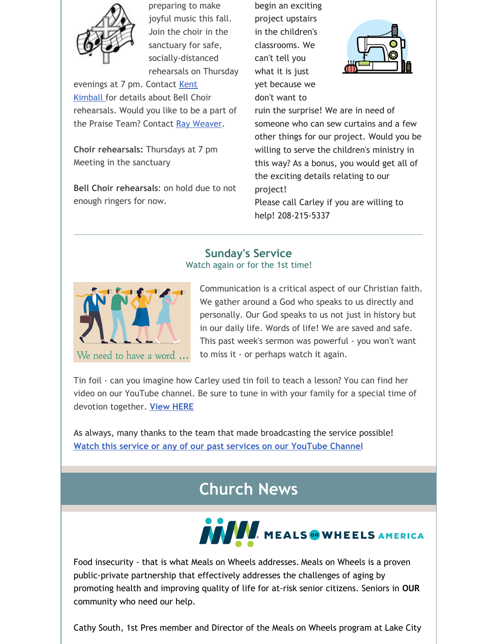

preparing to make joyful music this fall. Join the choir in the sanctuary for safe, socially-distanced rehearsals on Thursday

[evenings](mailto:kent1stpres@gmail.com) at 7 pm. Contact Kent Kimball for details about Bell Choir rehearsals. Would you like to be a part of the Praise Team? Contact Ray [Weaver](mailto:rayweaver102@gmail.com).

**Choir rehearsals:** Thursdays at 7 pm Meeting in the sanctuary

**Bell Choir rehearsals**: on hold due to not enough ringers for now.

begin an exciting project upstairs in the children's classrooms. We can't tell you what it is just yet because we don't want to



ruin the surprise! We are in need of someone who can sew curtains and a few other things for our project. Would you be willing to serve the children's ministry in this way? As a bonus, you would get all of the exciting details relating to our project!

Please call Carley if you are willing to help! 208-215-5337

### **Sunday's Service**

Watch again or for the 1st time!



Communication is a critical aspect of our Christian faith. We gather around a God who speaks to us directly and personally. Our God speaks to us not just in history but in our daily life. Words of life! We are saved and safe. This past week's sermon was powerful - you won't want to miss it - or perhaps watch it again.

Tin foil - can you imagine how Carley used tin foil to teach a lesson? You can find her video on our YouTube channel. Be sure to tune in with your family for a special time of devotion together. **View [HERE](https://youtu.be/Pd8wjg6wU-w)**

As always, many thanks to the team that made broadcasting the service possible! **Watch this service or any of our past services on our [YouTube](http://r20.rs6.net/tn.jsp?f=001TAEhPUeQXKS9PqOcukkRsNWUgGUBHZ7_nsdteClYMruoiLz1t14TsRr7UTt-UexyP7z8jFaaIPKIpT969G_ZUIkYi5mYoaY3H9bWFO_7npHXgu-wj68OzdnwykJslgohuottq9rPNR3w65MF7RkVXiqP9csz0dJjjE9juxHUxnD7AALW2Znqj4jNvmwW1hgb&c=xj6uxv4Ure-jLmebrsiWHqZgofQxk1jiFOFxtq_GIS985IIRxfa2wg==&ch=yLb4idgMcf26VkL_Lc86HYFK_5hMVavweuM2KPPMNNX6Iob9yt8sLA==) Channel**

# **Church News**



Food insecurity - that is what Meals on Wheels addresses. Meals on Wheels is a proven public-private partnership that effectively addresses the challenges of aging by promoting health and improving quality of life for at-risk senior citizens. Seniors in **OUR** community who need our help.

Cathy South, 1st Pres member and Director of the Meals on Wheels program at Lake City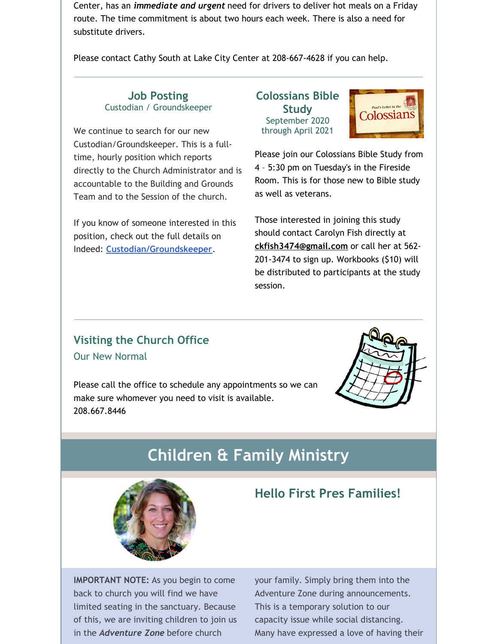Center, has an *immediate and urgent* need for drivers to deliver hot meals on a Friday route. The time commitment is about two hours each week. There is also a need for substitute drivers.

Please contact Cathy South at Lake City Center at 208-667-4628 if you can help.

#### **Job Posting** Custodian / Groundskeeper

We continue to search for our new Custodian/Groundskeeper. This is a fulltime, hourly position which reports directly to the Church Administrator and is accountable to the Building and Grounds Team and to the Session of the church.

If you know of someone interested in this position, check out the full details on Indeed: **[Custodian/Groundskeeper](https://www.indeed.com/job/custodiangroundskeeper-1713db722b958251)**.

**Colossians Bible Study** September 2020 through April 2021



Please join our Colossians Bible Study from 4 – 5:30 pm on Tuesday's in the Fireside Room. This is for those new to Bible study as well as veterans.

Those interested in joining this study should contact Carolyn Fish directly at **[ckfish3474@gmail.com](mailto:ckfish3474@gmail.com)** or call her at 562- 201-3474 to sign up. Workbooks (\$10) will be distributed to participants at the study session.

### **Visiting the Church Office** Our New Normal

Please call the office to schedule any appointments so we can make sure whomever you need to visit is available. 208.667.8446



# **Children & Family Ministry**



### **Hello First Pres Families!**

**IMPORTANT NOTE:** As you begin to come back to church you will find we have limited seating in the sanctuary. Because of this, we are inviting children to join us in the *Adventure Zone* before church

your family. Simply bring them into the Adventure Zone during announcements. This is a temporary solution to our capacity issue while social distancing. Many have expressed a love of having their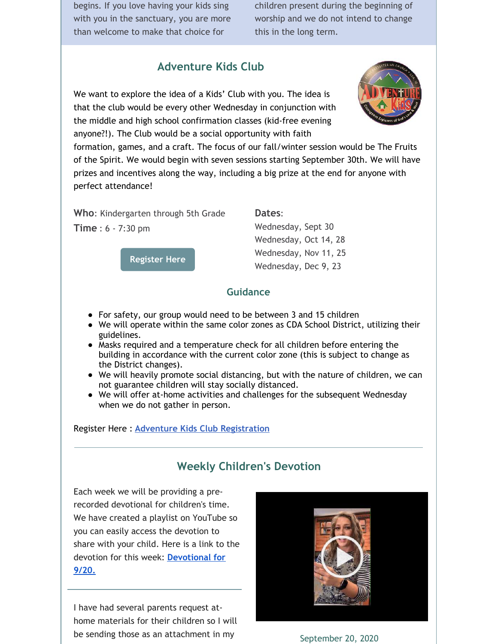begins. If you love having your kids sing with you in the sanctuary, you are more than welcome to make that choice for

children present during the beginning of worship and we do not intend to change this in the long term.

### **Adventure Kids Club**

We want to explore the idea of a Kids' Club with you. The idea is that the club would be every other Wednesday in conjunction with the middle and high school confirmation classes (kid-free evening anyone?!). The Club would be a social opportunity with faith



formation, games, and a craft. The focus of our fall/winter session would be The Fruits of the Spirit. We would begin with seven sessions starting September 30th. We will have prizes and incentives along the way, including a big prize at the end for anyone with perfect attendance!

**Who**: Kindergarten through 5th Grade

**Time** : 6 - 7:30 pm

**[Register](https://1stpres.churchcenter.com/registrations/events/539463) Here**

**Dates**:

Wednesday, Sept 30 Wednesday, Oct 14, 28 Wednesday, Nov 11, 25 Wednesday, Dec 9, 23

#### **Guidance**

- For safety, our group would need to be between 3 and 15 children
- We will operate within the same color zones as CDA School District, utilizing their guidelines.
- Masks required and a temperature check for all children before entering the building in accordance with the current color zone (this is subject to change as the District changes).
- We will heavily promote social distancing, but with the nature of children, we can not guarantee children will stay socially distanced.
- We will offer at-home activities and challenges for the subsequent Wednesday when we do not gather in person.

#### Register Here : **Adventure Kids Club [Registration](https://1stpres.churchcenter.com/registrations/events/539463)**

### **Weekly Children's Devotion**

Each week we will be providing a prerecorded devotional for children's time. We have created a playlist on YouTube so you can easily access the devotion to share with your child. Here is a link to the devotion for this week: **[Devotional](https://youtu.be/Pd8wjg6wU-w) for 9/20.**

I have had several parents request athome materials for their children so I will be sending those as an attachment in my



September 20, 2020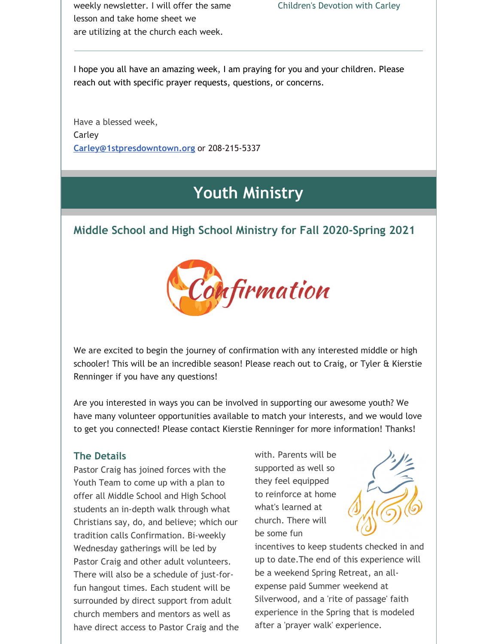weekly newsletter. I will offer the same lesson and take home sheet we are utilizing at the church each week.

I hope you all have an amazing week, I am praying for you and your children. Please reach out with specific prayer requests, questions, or concerns.

Have a blessed week, Carley **[Carley@1stpresdowntown.org](mailto:Carley@1stpresdowntown.org)** or 208-215-5337

## **Youth Ministry**

### **Middle School and High School Ministry for Fall 2020-Spring 2021**



We are excited to begin the journey of confirmation with any interested middle or high schooler! This will be an incredible season! Please reach out to Craig, or Tyler & Kierstie Renninger if you have any questions!

Are you interested in ways you can be involved in supporting our awesome youth? We have many volunteer opportunities available to match your interests, and we would love to get you connected! Please contact Kierstie Renninger for more information! Thanks!

#### **The Details**

Pastor Craig has joined forces with the Youth Team to come up with a plan to offer all Middle School and High School students an in-depth walk through what Christians say, do, and believe; which our tradition calls Confirmation. Bi-weekly Wednesday gatherings will be led by Pastor Craig and other adult volunteers. There will also be a schedule of just-forfun hangout times. Each student will be surrounded by direct support from adult church members and mentors as well as have direct access to Pastor Craig and the with. Parents will be supported as well so they feel equipped to reinforce at home what's learned at church. There will be some fun



incentives to keep students checked in and up to date.The end of this experience will be a weekend Spring Retreat, an allexpense paid Summer weekend at Silverwood, and a 'rite of passage' faith experience in the Spring that is modeled after a 'prayer walk' experience.